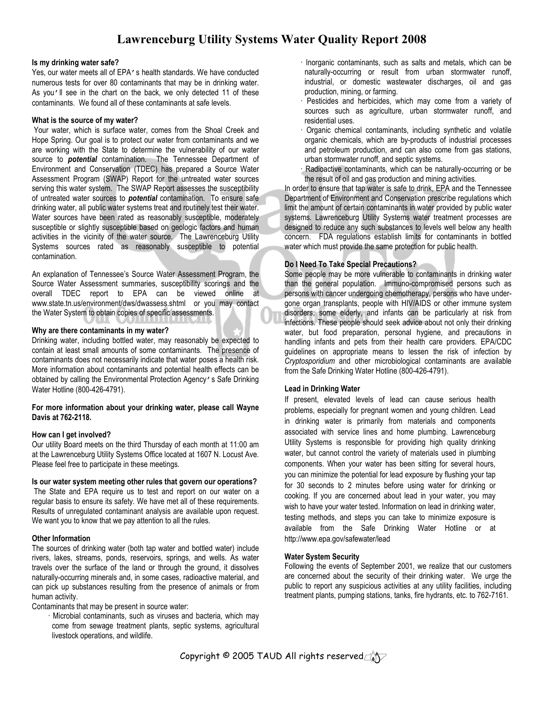# Lawrenceburg Utility Systems Water Quality Report 2008

#### Is my drinking water safe?

Yes, our water meets all of EPA's health standards. We have conducted numerous tests for over 80 contaminants that may be in drinking water. As you'll see in the chart on the back, we only detected 11 of these contaminants. We found all of these contaminants at safe levels.

#### What is the source of my water?

 Your water, which is surface water, comes from the Shoal Creek and Hope Spring. Our goal is to protect our water from contaminants and we are working with the State to determine the vulnerability of our water source to **potential** contamination. The Tennessee Department of Environment and Conservation (TDEC) has prepared a Source Water Assessment Program (SWAP) Report for the untreated water sources serving this water system. The SWAP Report assesses the susceptibility of untreated water sources to **potential** contamination. To ensure safe drinking water, all public water systems treat and routinely test their water. Water sources have been rated as reasonably susceptible, moderately susceptible or slightly susceptible based on geologic factors and human activities in the vicinity of the water source. The Lawrenceburg Utility Systems sources rated as reasonably susceptible to potential contamination.

An explanation of Tennessee's Source Water Assessment Program, the Source Water Assessment summaries, susceptibility scorings and the overall TDEC report to EPA can be viewed online at www.state.tn.us/environment/dws/dwassess.shtml or you may contact the Water System to obtain copies of specific assessments.

#### Why are there contaminants in my water?

Drinking water, including bottled water, may reasonably be expected to contain at least small amounts of some contaminants. The presence of contaminants does not necessarily indicate that water poses a health risk. More information about contaminants and potential health effects can be obtained by calling the Environmental Protection Agency's Safe Drinking Water Hotline (800-426-4791).

#### For more information about your drinking water, please call Wayne Davis at 762-2118.

# How can I get involved?

Our utility Board meets on the third Thursday of each month at 11:00 am at the Lawrenceburg Utility Systems Office located at 1607 N. Locust Ave. Please feel free to participate in these meetings.

#### Is our water system meeting other rules that govern our operations?

 The State and EPA require us to test and report on our water on a regular basis to ensure its safety. We have met all of these requirements. Results of unregulated contaminant analysis are available upon request. We want you to know that we pay attention to all the rules.

# Other Information

The sources of drinking water (both tap water and bottled water) include rivers, lakes, streams, ponds, reservoirs, springs, and wells. As water travels over the surface of the land or through the ground, it dissolves naturally-occurring minerals and, in some cases, radioactive material, and can pick up substances resulting from the presence of animals or from human activity.

Contaminants that may be present in source water:

 Microbial contaminants, such as viruses and bacteria, which may come from sewage treatment plants, septic systems, agricultural livestock operations, and wildlife.

- Inorganic contaminants, such as salts and metals, which can be naturally-occurring or result from urban stormwater runoff, industrial, or domestic wastewater discharges, oil and gas production, mining, or farming.
- Pesticides and herbicides, which may come from a variety of sources such as agriculture, urban stormwater runoff, and residential uses.
- Organic chemical contaminants, including synthetic and volatile organic chemicals, which are by-products of industrial processes and petroleum production, and can also come from gas stations, urban stormwater runoff, and septic systems.
- Radioactive contaminants, which can be naturally-occurring or be the result of oil and gas production and mining activities.

In order to ensure that tap water is safe to drink, EPA and the Tennessee Department of Environment and Conservation prescribe regulations which limit the amount of certain contaminants in water provided by public water systems. Lawrenceburg Utility Systems water treatment processes are designed to reduce any such substances to levels well below any health concern. FDA regulations establish limits for contaminants in bottled water which must provide the same protection for public health.

# Do I Need To Take Special Precautions?

Some people may be more vulnerable to contaminants in drinking water than the general population. Immuno-compromised persons such as persons with cancer undergoing chemotherapy, persons who have undergone organ transplants, people with HIV/AIDS or other immune system disorders, some elderly, and infants can be particularly at risk from infections. These people should seek advice about not only their drinking water, but food preparation, personal hygiene, and precautions in handling infants and pets from their health care providers. EPA/CDC guidelines on appropriate means to lessen the risk of infection by Cryptosporidium and other microbiological contaminants are available from the Safe Drinking Water Hotline (800-426-4791).

# Lead in Drinking Water

If present, elevated levels of lead can cause serious health problems, especially for pregnant women and young children. Lead in drinking water is primarily from materials and components associated with service lines and home plumbing. Lawrenceburg Utility Systems is responsible for providing high quality drinking water, but cannot control the variety of materials used in plumbing components. When your water has been sitting for several hours, you can minimize the potential for lead exposure by flushing your tap for 30 seconds to 2 minutes before using water for drinking or cooking. If you are concerned about lead in your water, you may wish to have your water tested. Information on lead in drinking water, testing methods, and steps you can take to minimize exposure is available from the Safe Drinking Water Hotline or at http://www.epa.gov/safewater/lead

# Water System Security

Following the events of September 2001, we realize that our customers are concerned about the security of their drinking water. We urge the public to report any suspicious activities at any utility facilities, including treatment plants, pumping stations, tanks, fire hydrants, etc. to 762-7161.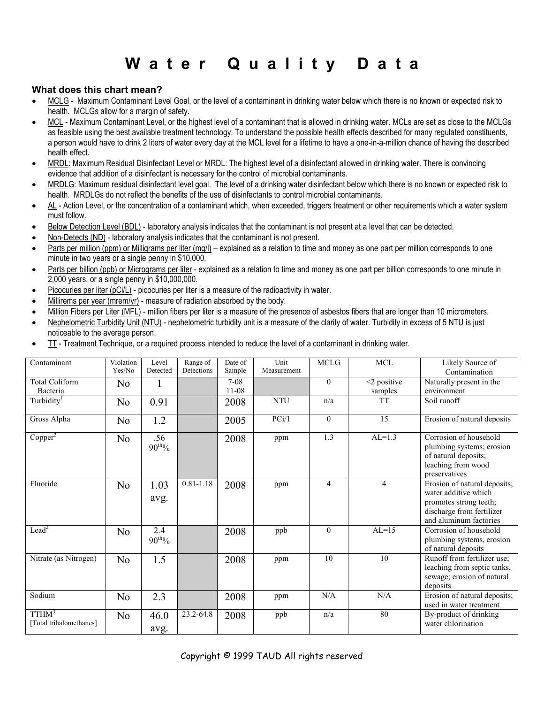# Water Quality Data

# What does this chart mean?

- MCLG Maximum Contaminant Level Goal, or the level of a contaminant in drinking water below which there is no known or expected risk to health. MCLGs allow for a margin of safety.
- MCL Maximum Contaminant Level, or the highest level of a contaminant that is allowed in drinking water. MCLs are set as close to the MCLGs as feasible using the best available treatment technology. To understand the possible health effects described for many regulated constituents, a person would have to drink 2 liters of water every day at the MCL level for a lifetime to have a one-in-a-million chance of having the described health effect.
- MRDL: Maximum Residual Disinfectant Level or MRDL: The highest level of a disinfectant allowed in drinking water. There is convincing evidence that addition of a disinfectant is necessary for the control of microbial contaminants.
- MRDLG: Maximum residual disinfectant level goal. The level of a drinking water disinfectant below which there is no known or expected risk to health. MRDLGs do not reflect the benefits of the use of disinfectants to control microbial contaminants.
- AL Action Level, or the concentration of a contaminant which, when exceeded, triggers treatment or other requirements which a water system must follow.
- Below Detection Level (BDL) laboratory analysis indicates that the contaminant is not present at a level that can be detected.
- Non-Detects (ND) laboratory analysis indicates that the contaminant is not present.
- Parts per million (ppm) or Milligrams per liter (mg/l) explained as a relation to time and money as one part per million corresponds to one minute in two years or a single penny in \$10,000.
- Parts per billion (ppb) or Micrograms per liter explained as a relation to time and money as one part per billion corresponds to one minute in 2,000 years, or a single penny in \$10,000,000.
- Picocuries per liter (pCi/L) picocuries per liter is a measure of the radioactivity in water.
- Millirems per year (mrem/yr) measure of radiation absorbed by the body.
- Million Fibers per Liter (MFL) million fibers per liter is a measure of the presence of asbestos fibers that are longer than 10 micrometers.
- Nephelometric Turbidity Unit (NTU) nephelometric turbidity unit is a measure of the clarity of water. Turbidity in excess of 5 NTU is just noticeable to the average person.
- TT Treatment Technique, or a required process intended to reduce the level of a contaminant in drinking water.

| Contaminant                                  | Violation<br>Yes/No | Level<br>Detected         | Range of<br>Detections | Date of<br>Sample   | Unit<br>Measurement | <b>MCLG</b>    | $\rm MCL$                    | Likely Source of<br>Contamination                                                                                                     |
|----------------------------------------------|---------------------|---------------------------|------------------------|---------------------|---------------------|----------------|------------------------------|---------------------------------------------------------------------------------------------------------------------------------------|
| Total Coliform<br>Bacteria                   | N <sub>0</sub>      |                           |                        | $7-08$<br>$11 - 08$ |                     | $\theta$       | $\leq$ 2 positive<br>samples | Naturally present in the<br>environment                                                                                               |
| Turbidity <sup>1</sup>                       | N <sub>0</sub>      | 0.91                      |                        | 2008                | <b>NTU</b>          | n/a            | <b>TT</b>                    | Soil runoff                                                                                                                           |
| Gross Alpha                                  | N <sub>0</sub>      | 1.2                       |                        | 2005                | PCi/1               | $\theta$       | 15                           | Erosion of natural deposits                                                                                                           |
| Copper <sup>2</sup>                          | N <sub>0</sub>      | .56<br>$90^{th}$ %        |                        | 2008                | ppm                 | 1.3            | $AL=1.3$                     | Corrosion of household<br>plumbing systems; erosion<br>of natural deposits;<br>leaching from wood<br>preservatives                    |
| Fluoride                                     | N <sub>0</sub>      | 1.03<br>avg.              | $0.81 - 1.18$          | 2008                | ppm                 | $\overline{4}$ | $\overline{4}$               | Erosion of natural deposits;<br>water additive which<br>promotes strong teeth;<br>discharge from fertilizer<br>and aluminum factories |
| Lead <sup>2</sup>                            | N <sub>o</sub>      | 2.4<br>$90^{\text{th}}\%$ |                        | 2008                | ppb                 | $\theta$       | $AI = 15$                    | Corrosion of household<br>plumbing systems, erosion<br>of natural deposits                                                            |
| Nitrate (as Nitrogen)                        | N <sub>0</sub>      | 1.5                       |                        | 2008                | ppm                 | 10             | 10                           | Runoff from fertilizer use;<br>leaching from septic tanks,<br>sewage; erosion of natural<br>deposits                                  |
| Sodium                                       | N <sub>0</sub>      | 2.3                       |                        | 2008                | ppm                 | N/A            | N/A                          | Erosion of natural deposits;<br>used in water treatment                                                                               |
| TTHM <sup>3</sup><br>[Total trihalomethanes] | N <sub>0</sub>      | 46.0<br>avg.              | 23.2-64.8              | 2008                | ppb                 | n/a            | 80                           | By-product of drinking<br>water chlorination                                                                                          |